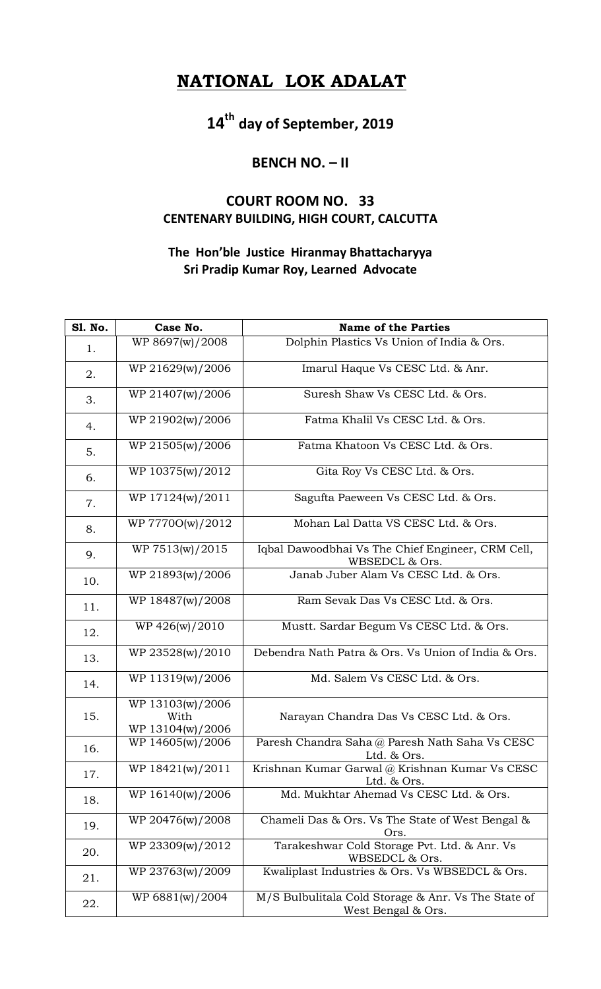## **NATIONAL LOK ADALAT**

**14th day of September, 2019**

## **BENCH NO. – II**

## **COURT ROOM NO. 33 CENTENARY BUILDING, HIGH COURT, CALCUTTA**

## **The Hon'ble Justice Hiranmay Bhattacharyya Sri Pradip Kumar Roy, Learned Advocate**

| <b>S1. No.</b> | Case No.                                     | <b>Name of the Parties</b>                                                |
|----------------|----------------------------------------------|---------------------------------------------------------------------------|
| 1.             | WP 8697(w)/2008                              | Dolphin Plastics Vs Union of India & Ors.                                 |
| 2.             | WP 21629(w)/2006                             | Imarul Haque Vs CESC Ltd. & Anr.                                          |
| 3.             | WP 21407(w)/2006                             | Suresh Shaw Vs CESC Ltd. & Ors.                                           |
| 4.             | WP 21902(w)/2006                             | Fatma Khalil Vs CESC Ltd. & Ors.                                          |
| 5.             | WP 21505(w)/2006                             | Fatma Khatoon Vs CESC Ltd. & Ors.                                         |
| 6.             | WP 10375(w)/2012                             | Gita Roy Vs CESC Ltd. & Ors.                                              |
| 7.             | WP 17124(w)/2011                             | Sagufta Paeween Vs CESC Ltd. & Ors.                                       |
| 8.             | WP 77700(w)/2012                             | Mohan Lal Datta VS CESC Ltd. & Ors.                                       |
| 9.             | WP 7513(w)/2015                              | Iqbal Dawoodbhai Vs The Chief Engineer, CRM Cell,<br>WBSEDCL & Ors.       |
| 10.            | WP 21893(w)/2006                             | Janab Juber Alam Vs CESC Ltd. & Ors.                                      |
| 11.            | WP 18487(w)/2008                             | Ram Sevak Das Vs CESC Ltd. & Ors.                                         |
| 12.            | WP 426(w)/2010                               | Mustt. Sardar Begum Vs CESC Ltd. & Ors.                                   |
| 13.            | WP 23528(w)/2010                             | Debendra Nath Patra & Ors. Vs Union of India & Ors.                       |
| 14.            | WP 11319(w)/2006                             | Md. Salem Vs CESC Ltd. & Ors.                                             |
| 15.            | WP 13103(w)/2006<br>With<br>WP 13104(w)/2006 | Narayan Chandra Das Vs CESC Ltd. & Ors.                                   |
| 16.            | WP 14605(w)/2006                             | Paresh Chandra Saha @ Paresh Nath Saha Vs CESC<br>Ltd. & Ors.             |
| 17.            | WP 18421(w)/2011                             | Krishnan Kumar Garwal @ Krishnan Kumar Vs CESC<br>Ltd. & Ors.             |
| 18.            | WP 16140(w)/2006                             | Md. Mukhtar Ahemad Vs CESC Ltd. & Ors.                                    |
| 19.            | WP 20476(w)/2008                             | Chameli Das & Ors. Vs The State of West Bengal &<br>Ors.                  |
| 20.            | WP 23309(w)/2012                             | Tarakeshwar Cold Storage Pvt. Ltd. & Anr. Vs<br>WBSEDCL & Ors.            |
| 21.            | WP 23763(w)/2009                             | Kwaliplast Industries & Ors. Vs WBSEDCL & Ors.                            |
| 22.            | WP 6881(w)/2004                              | M/S Bulbulitala Cold Storage & Anr. Vs The State of<br>West Bengal & Ors. |